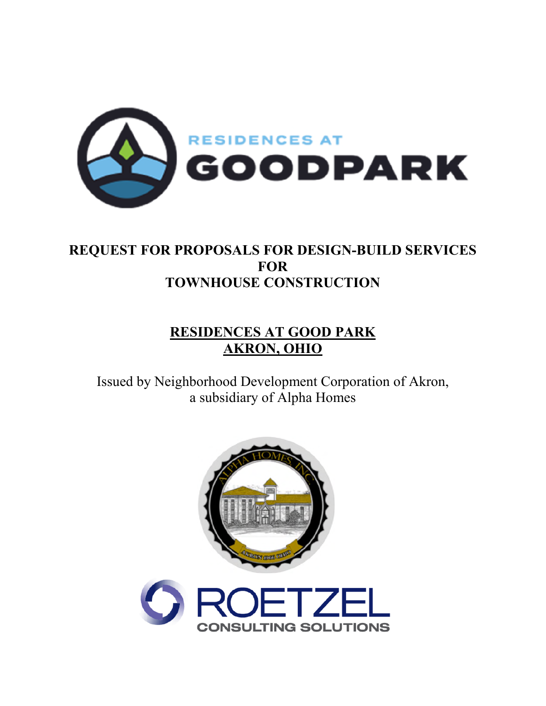

## **REQUEST FOR PROPOSALS FOR DESIGN-BUILD SERVICES FOR TOWNHOUSE CONSTRUCTION**

# **RESIDENCES AT GOOD PARK AKRON, OHIO**

Issued by Neighborhood Development Corporation of Akron, a subsidiary of Alpha Homes

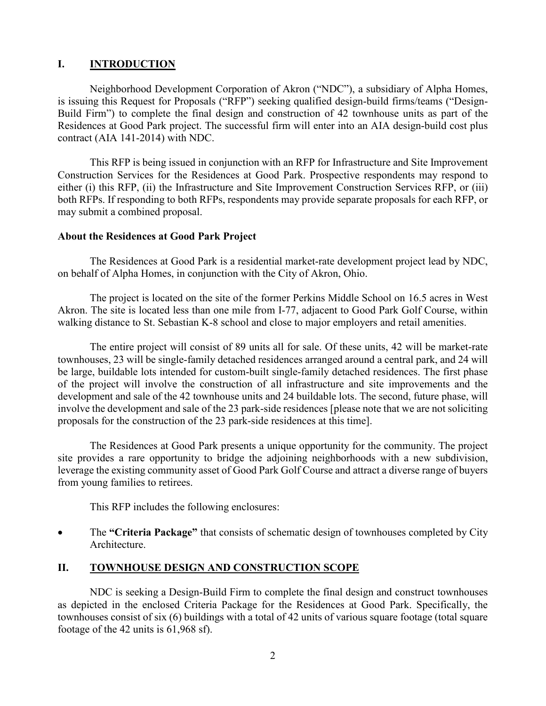## **I. INTRODUCTION**

Neighborhood Development Corporation of Akron ("NDC"), a subsidiary of Alpha Homes, is issuing this Request for Proposals ("RFP") seeking qualified design-build firms/teams ("Design-Build Firm") to complete the final design and construction of 42 townhouse units as part of the Residences at Good Park project. The successful firm will enter into an AIA design-build cost plus contract (AIA 141-2014) with NDC.

This RFP is being issued in conjunction with an RFP for Infrastructure and Site Improvement Construction Services for the Residences at Good Park. Prospective respondents may respond to either (i) this RFP, (ii) the Infrastructure and Site Improvement Construction Services RFP, or (iii) both RFPs. If responding to both RFPs, respondents may provide separate proposals for each RFP, or may submit a combined proposal.

#### **About the Residences at Good Park Project**

The Residences at Good Park is a residential market-rate development project lead by NDC, on behalf of Alpha Homes, in conjunction with the City of Akron, Ohio.

The project is located on the site of the former Perkins Middle School on 16.5 acres in West Akron. The site is located less than one mile from I-77, adjacent to Good Park Golf Course, within walking distance to St. Sebastian K-8 school and close to major employers and retail amenities.

The entire project will consist of 89 units all for sale. Of these units, 42 will be market-rate townhouses, 23 will be single-family detached residences arranged around a central park, and 24 will be large, buildable lots intended for custom-built single-family detached residences. The first phase of the project will involve the construction of all infrastructure and site improvements and the development and sale of the 42 townhouse units and 24 buildable lots. The second, future phase, will involve the development and sale of the 23 park-side residences [please note that we are not soliciting proposals for the construction of the 23 park-side residences at this time].

The Residences at Good Park presents a unique opportunity for the community. The project site provides a rare opportunity to bridge the adjoining neighborhoods with a new subdivision, leverage the existing community asset of Good Park Golf Course and attract a diverse range of buyers from young families to retirees.

This RFP includes the following enclosures:

 The **"Criteria Package"** that consists of schematic design of townhouses completed by City Architecture.

## **II. TOWNHOUSE DESIGN AND CONSTRUCTION SCOPE**

NDC is seeking a Design-Build Firm to complete the final design and construct townhouses as depicted in the enclosed Criteria Package for the Residences at Good Park. Specifically, the townhouses consist of six (6) buildings with a total of 42 units of various square footage (total square footage of the 42 units is 61,968 sf).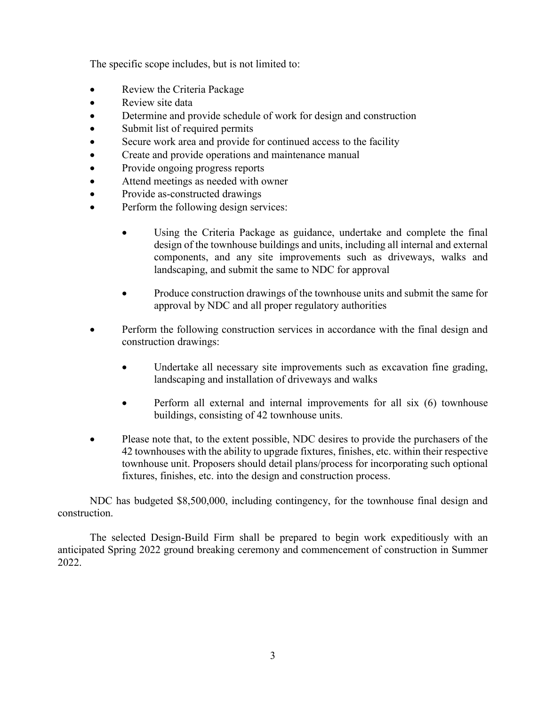The specific scope includes, but is not limited to:

- Review the Criteria Package
- Review site data
- Determine and provide schedule of work for design and construction
- Submit list of required permits
- Secure work area and provide for continued access to the facility
- Create and provide operations and maintenance manual
- Provide ongoing progress reports
- Attend meetings as needed with owner
- Provide as-constructed drawings
- Perform the following design services:
	- Using the Criteria Package as guidance, undertake and complete the final design of the townhouse buildings and units, including all internal and external components, and any site improvements such as driveways, walks and landscaping, and submit the same to NDC for approval
	- Produce construction drawings of the townhouse units and submit the same for approval by NDC and all proper regulatory authorities
- Perform the following construction services in accordance with the final design and construction drawings:
	- Undertake all necessary site improvements such as excavation fine grading, landscaping and installation of driveways and walks
	- Perform all external and internal improvements for all six (6) townhouse buildings, consisting of 42 townhouse units.
- Please note that, to the extent possible, NDC desires to provide the purchasers of the 42 townhouses with the ability to upgrade fixtures, finishes, etc. within their respective townhouse unit. Proposers should detail plans/process for incorporating such optional fixtures, finishes, etc. into the design and construction process.

NDC has budgeted \$8,500,000, including contingency, for the townhouse final design and construction.

The selected Design-Build Firm shall be prepared to begin work expeditiously with an anticipated Spring 2022 ground breaking ceremony and commencement of construction in Summer 2022.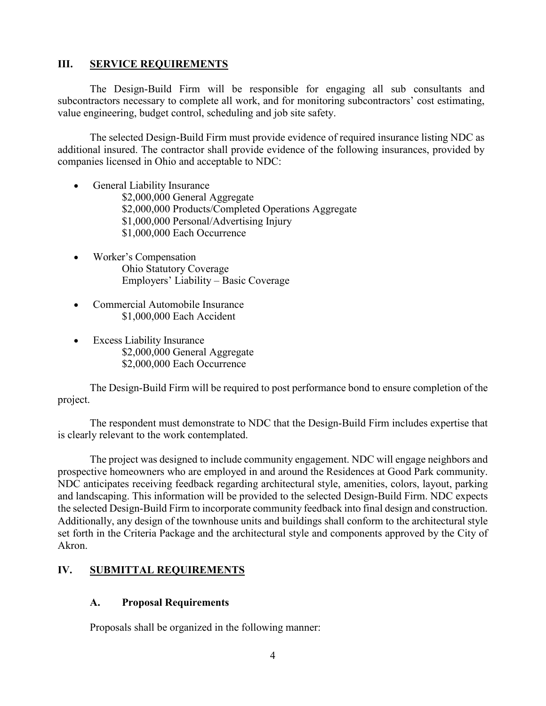#### **III. SERVICE REQUIREMENTS**

The Design-Build Firm will be responsible for engaging all sub consultants and subcontractors necessary to complete all work, and for monitoring subcontractors' cost estimating, value engineering, budget control, scheduling and job site safety.

The selected Design-Build Firm must provide evidence of required insurance listing NDC as additional insured. The contractor shall provide evidence of the following insurances, provided by companies licensed in Ohio and acceptable to NDC:

- General Liability Insurance \$2,000,000 General Aggregate \$2,000,000 Products/Completed Operations Aggregate \$1,000,000 Personal/Advertising Injury \$1,000,000 Each Occurrence
- Worker's Compensation Ohio Statutory Coverage Employers' Liability – Basic Coverage
- Commercial Automobile Insurance \$1,000,000 Each Accident
- Excess Liability Insurance \$2,000,000 General Aggregate \$2,000,000 Each Occurrence

The Design-Build Firm will be required to post performance bond to ensure completion of the project.

The respondent must demonstrate to NDC that the Design-Build Firm includes expertise that is clearly relevant to the work contemplated.

The project was designed to include community engagement. NDC will engage neighbors and prospective homeowners who are employed in and around the Residences at Good Park community. NDC anticipates receiving feedback regarding architectural style, amenities, colors, layout, parking and landscaping. This information will be provided to the selected Design-Build Firm. NDC expects the selected Design-Build Firm to incorporate community feedback into final design and construction. Additionally, any design of the townhouse units and buildings shall conform to the architectural style set forth in the Criteria Package and the architectural style and components approved by the City of Akron.

## **IV. SUBMITTAL REQUIREMENTS**

## **A. Proposal Requirements**

Proposals shall be organized in the following manner: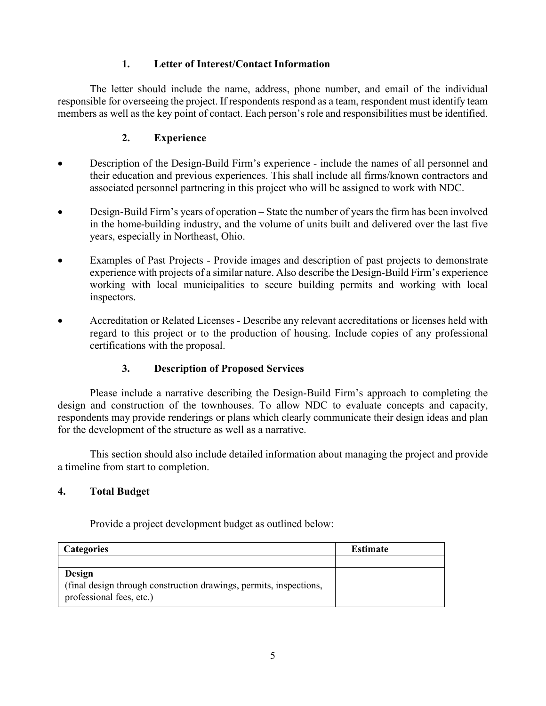## **1. Letter of Interest/Contact Information**

The letter should include the name, address, phone number, and email of the individual responsible for overseeing the project. If respondents respond as a team, respondent must identify team members as well as the key point of contact. Each person's role and responsibilities must be identified.

## **2. Experience**

- Description of the Design-Build Firm's experience include the names of all personnel and their education and previous experiences. This shall include all firms/known contractors and associated personnel partnering in this project who will be assigned to work with NDC.
- Design-Build Firm's years of operation State the number of years the firm has been involved in the home-building industry, and the volume of units built and delivered over the last five years, especially in Northeast, Ohio.
- Examples of Past Projects Provide images and description of past projects to demonstrate experience with projects of a similar nature. Also describe the Design-Build Firm's experience working with local municipalities to secure building permits and working with local inspectors.
- Accreditation or Related Licenses Describe any relevant accreditations or licenses held with regard to this project or to the production of housing. Include copies of any professional certifications with the proposal.

## **3. Description of Proposed Services**

Please include a narrative describing the Design-Build Firm's approach to completing the design and construction of the townhouses. To allow NDC to evaluate concepts and capacity, respondents may provide renderings or plans which clearly communicate their design ideas and plan for the development of the structure as well as a narrative.

This section should also include detailed information about managing the project and provide a timeline from start to completion.

## **4. Total Budget**

Provide a project development budget as outlined below:

| <b>Categories</b>                                                                                        | <b>Estimate</b> |
|----------------------------------------------------------------------------------------------------------|-----------------|
|                                                                                                          |                 |
| Design<br>(final design through construction drawings, permits, inspections,<br>professional fees, etc.) |                 |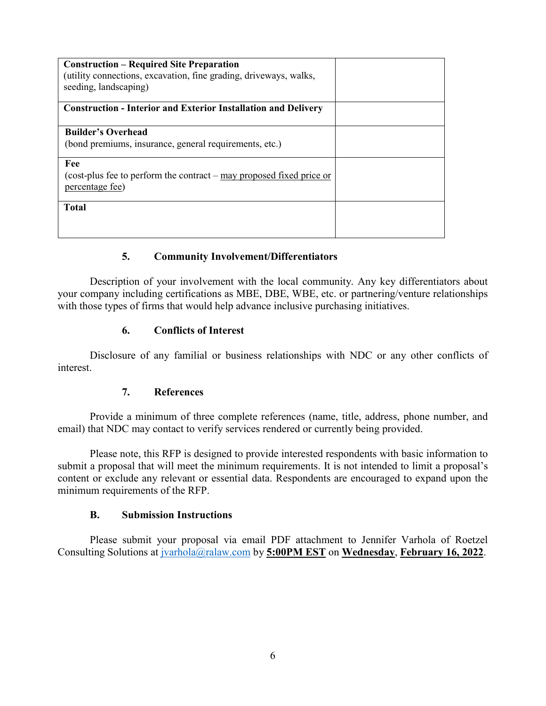| <b>Construction – Required Site Preparation</b><br>(utility connections, excavation, fine grading, driveways, walks,<br>seeding, landscaping) |  |
|-----------------------------------------------------------------------------------------------------------------------------------------------|--|
| <b>Construction - Interior and Exterior Installation and Delivery</b>                                                                         |  |
| <b>Builder's Overhead</b>                                                                                                                     |  |
| (bond premiums, insurance, general requirements, etc.)                                                                                        |  |
| Fee                                                                                                                                           |  |
| (cost-plus fee to perform the contract $-$ may proposed fixed price or<br>percentage fee)                                                     |  |
| <b>Total</b>                                                                                                                                  |  |
|                                                                                                                                               |  |
|                                                                                                                                               |  |

#### **5. Community Involvement/Differentiators**

Description of your involvement with the local community. Any key differentiators about your company including certifications as MBE, DBE, WBE, etc. or partnering/venture relationships with those types of firms that would help advance inclusive purchasing initiatives.

## **6. Conflicts of Interest**

Disclosure of any familial or business relationships with NDC or any other conflicts of interest.

#### **7. References**

Provide a minimum of three complete references (name, title, address, phone number, and email) that NDC may contact to verify services rendered or currently being provided.

Please note, this RFP is designed to provide interested respondents with basic information to submit a proposal that will meet the minimum requirements. It is not intended to limit a proposal's content or exclude any relevant or essential data. Respondents are encouraged to expand upon the minimum requirements of the RFP.

#### **B. Submission Instructions**

Please submit your proposal via email PDF attachment to Jennifer Varhola of Roetzel Consulting Solutions at jvarhola@ralaw.com by **5:00PM EST** on **Wednesday**, **February 16, 2022**.